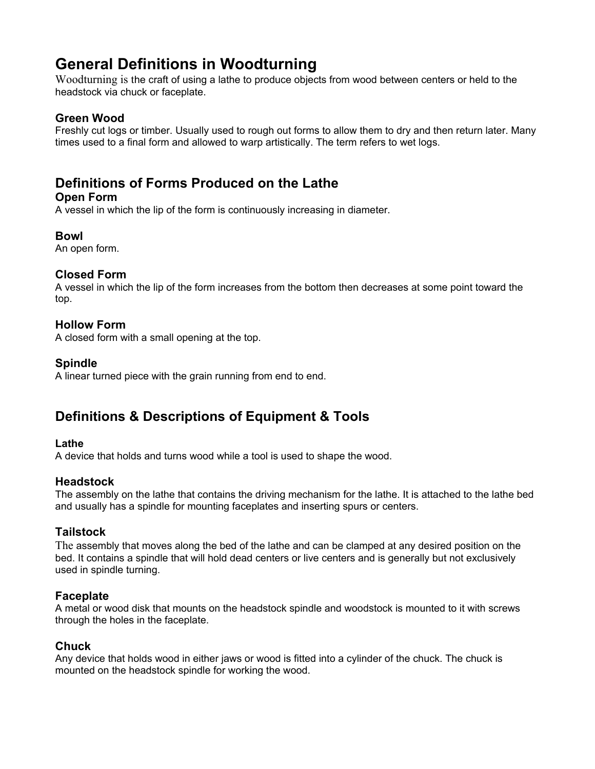# **General Definitions in Woodturning**

Woodturning is the craft of using a lathe to produce objects from wood between centers or held to the headstock via chuck or faceplate.

## **Green Wood**

Freshly cut logs or timber. Usually used to rough out forms to allow them to dry and then return later. Many times used to a final form and allowed to warp artistically. The term refers to wet logs.

## **Definitions of Forms Produced on the Lathe**

## **Open Form**

A vessel in which the lip of the form is continuously increasing in diameter.

## **Bowl**

An open form.

## **Closed Form**

A vessel in which the lip of the form increases from the bottom then decreases at some point toward the top.

## **Hollow Form**

A closed form with a small opening at the top.

## **Spindle**

A linear turned piece with the grain running from end to end.

## **Definitions & Descriptions of Equipment & Tools**

#### **Lathe**

A device that holds and turns wood while a tool is used to shape the wood.

## **Headstock**

The assembly on the lathe that contains the driving mechanism for the lathe. It is attached to the lathe bed and usually has a spindle for mounting faceplates and inserting spurs or centers.

## **Tailstock**

The assembly that moves along the bed of the lathe and can be clamped at any desired position on the bed. It contains a spindle that will hold dead centers or live centers and is generally but not exclusively used in spindle turning.

## **Faceplate**

A metal or wood disk that mounts on the headstock spindle and woodstock is mounted to it with screws through the holes in the faceplate.

## **Chuck**

Any device that holds wood in either jaws or wood is fitted into a cylinder of the chuck. The chuck is mounted on the headstock spindle for working the wood.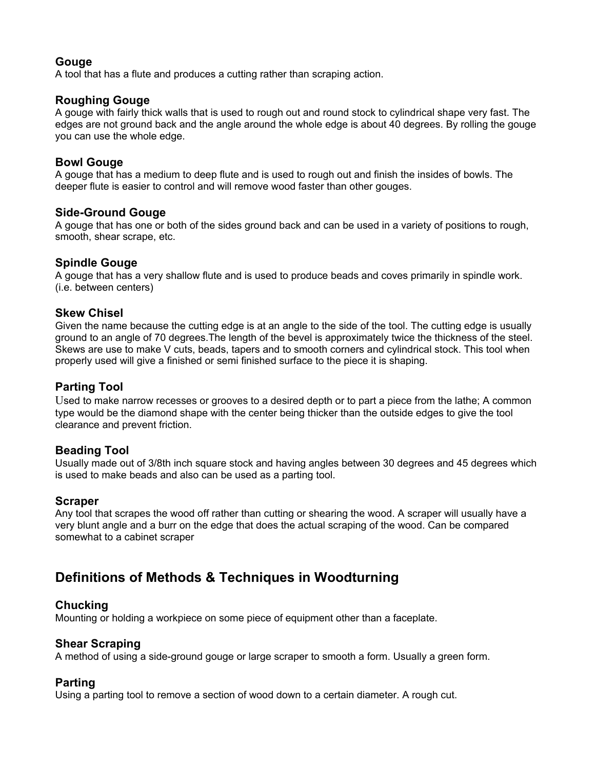## **Gouge**

A tool that has a flute and produces a cutting rather than scraping action.

#### **Roughing Gouge**

A gouge with fairly thick walls that is used to rough out and round stock to cylindrical shape very fast. The edges are not ground back and the angle around the whole edge is about 40 degrees. By rolling the gouge you can use the whole edge.

#### **Bowl Gouge**

A gouge that has a medium to deep flute and is used to rough out and finish the insides of bowls. The deeper flute is easier to control and will remove wood faster than other gouges.

#### **Side-Ground Gouge**

A gouge that has one or both of the sides ground back and can be used in a variety of positions to rough, smooth, shear scrape, etc.

#### **Spindle Gouge**

A gouge that has a very shallow flute and is used to produce beads and coves primarily in spindle work. (i.e. between centers)

#### **Skew Chisel**

Given the name because the cutting edge is at an angle to the side of the tool. The cutting edge is usually ground to an angle of 70 degrees.The length of the bevel is approximately twice the thickness of the steel. Skews are use to make V cuts, beads, tapers and to smooth corners and cylindrical stock. This tool when properly used will give a finished or semi finished surface to the piece it is shaping.

## **Parting Tool**

Used to make narrow recesses or grooves to a desired depth or to part a piece from the lathe; A common type would be the diamond shape with the center being thicker than the outside edges to give the tool clearance and prevent friction.

#### **Beading Tool**

Usually made out of 3/8th inch square stock and having angles between 30 degrees and 45 degrees which is used to make beads and also can be used as a parting tool.

#### **Scraper**

Any tool that scrapes the wood off rather than cutting or shearing the wood. A scraper will usually have a very blunt angle and a burr on the edge that does the actual scraping of the wood. Can be compared somewhat to a cabinet scraper

## **Definitions of Methods & Techniques in Woodturning**

## **Chucking**

Mounting or holding a workpiece on some piece of equipment other than a faceplate.

#### **Shear Scraping**

A method of using a side-ground gouge or large scraper to smooth a form. Usually a green form.

## **Parting**

Using a parting tool to remove a section of wood down to a certain diameter. A rough cut.